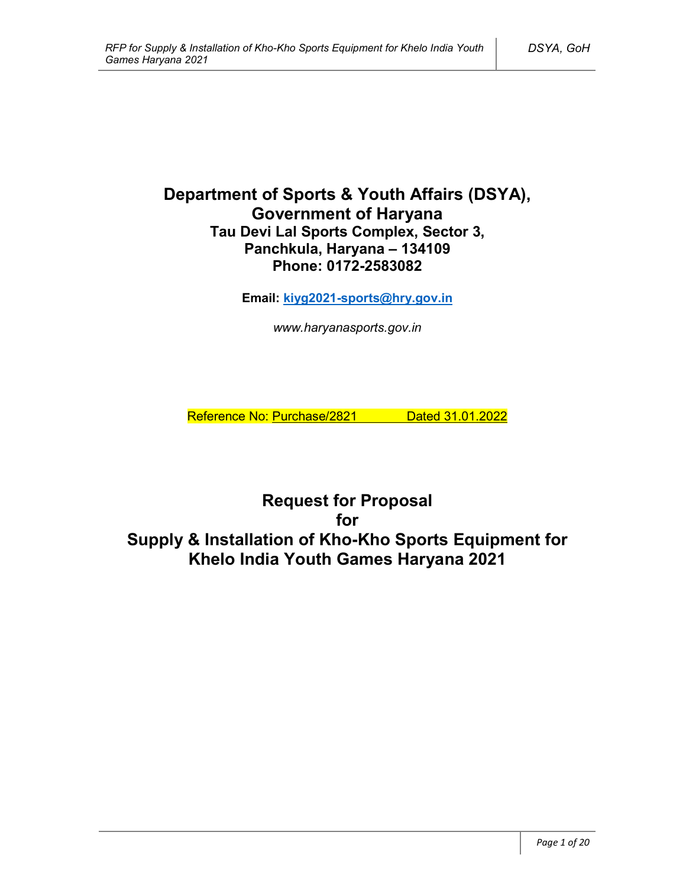# **Department of Sports & Youth Affairs (DSYA), Government of Haryana Tau Devi Lal Sports Complex, Sector 3, Panchkula, Haryana – 134109 Phone: 0172-2583082**

**Email: kiyg2021-sports@hry.gov.in**

*www.haryanasports.gov.in*

Reference No: Purchase/2821 Dated 31.01.2022

**Request for Proposal for Supply & Installation of Kho-Kho Sports Equipment for Khelo India Youth Games Haryana 2021**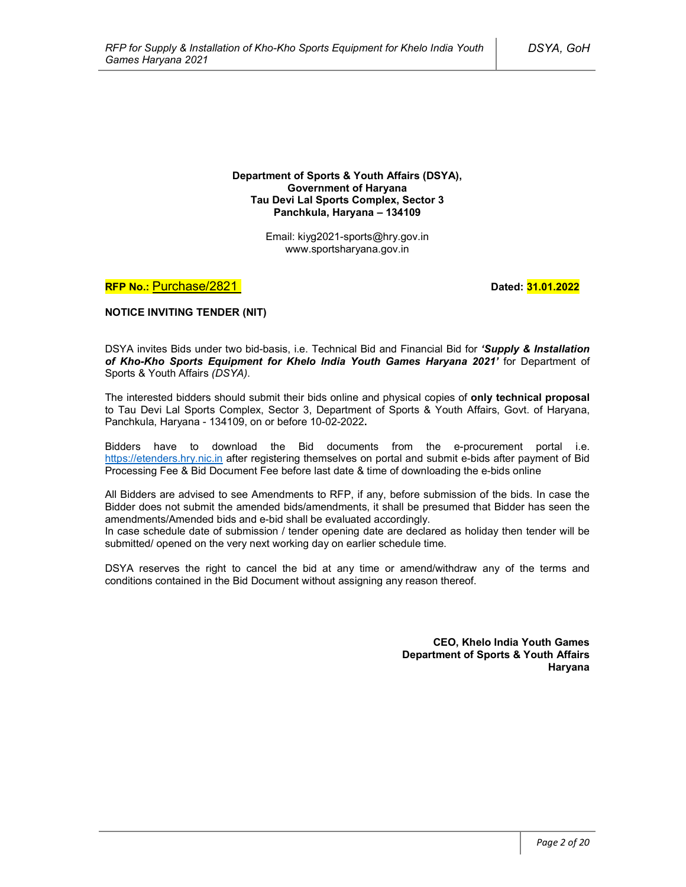**Department of Sports & Youth Affairs (DSYA), Government of Haryana Tau Devi Lal Sports Complex, Sector 3 Panchkula, Haryana – 134109**

> Email: kiyg2021-sports@hry.gov.in www.sportsharyana.gov.in

**RFP No.: Purchase/2821 Dated: 31.01.2022** 

**NOTICE INVITING TENDER (NIT)**

DSYA invites Bids under two bid-basis, i.e. Technical Bid and Financial Bid for *'Supply & Installation of Kho-Kho Sports Equipment for Khelo India Youth Games Haryana 2021'* for Department of Sports & Youth Affairs *(DSYA)*.

The interested bidders should submit their bids online and physical copies of **only technical proposal** to Tau Devi Lal Sports Complex, Sector 3, Department of Sports & Youth Affairs, Govt. of Haryana, Panchkula, Haryana - 134109, on or before 10-02-2022**.**

Bidders have to download the Bid documents from the e-procurement portal i.e. https://etenders.hry.nic.in after registering themselves on portal and submit e-bids after payment of Bid Processing Fee & Bid Document Fee before last date & time of downloading the e-bids online

All Bidders are advised to see Amendments to RFP, if any, before submission of the bids. In case the Bidder does not submit the amended bids/amendments, it shall be presumed that Bidder has seen the amendments/Amended bids and e-bid shall be evaluated accordingly.

In case schedule date of submission / tender opening date are declared as holiday then tender will be submitted/ opened on the very next working day on earlier schedule time.

DSYA reserves the right to cancel the bid at any time or amend/withdraw any of the terms and conditions contained in the Bid Document without assigning any reason thereof.

> **CEO, Khelo India Youth Games Department of Sports & Youth Affairs Haryana**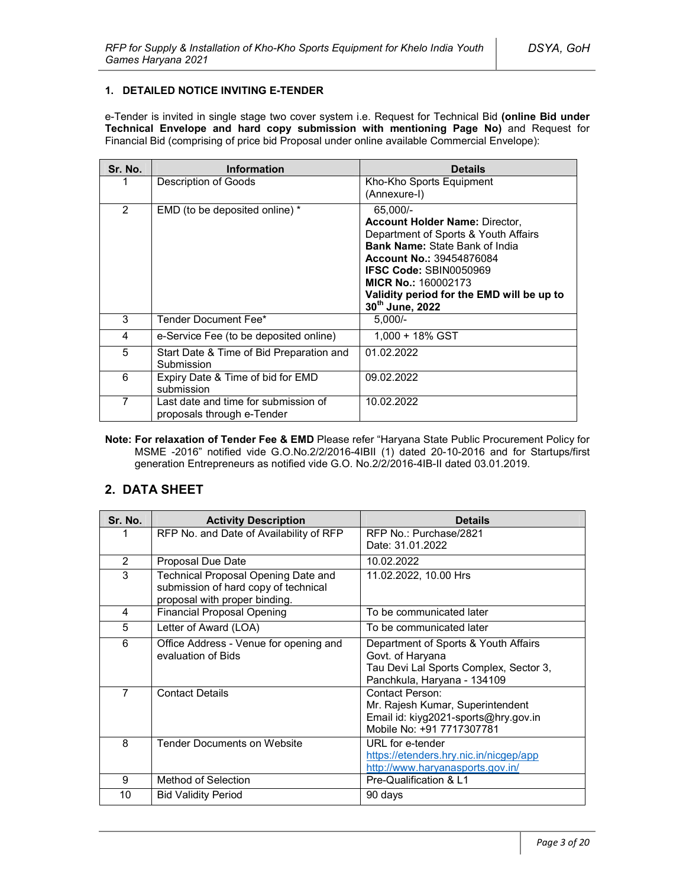#### **1. DETAILED NOTICE INVITING E-TENDER**

e-Tender is invited in single stage two cover system i.e. Request for Technical Bid **(online Bid under Technical Envelope and hard copy submission with mentioning Page No)** and Request for Financial Bid (comprising of price bid Proposal under online available Commercial Envelope):

| Sr. No. | <b>Information</b>                                                 | <b>Details</b>                                                                                                                                                                                                                                                                                       |
|---------|--------------------------------------------------------------------|------------------------------------------------------------------------------------------------------------------------------------------------------------------------------------------------------------------------------------------------------------------------------------------------------|
|         | Description of Goods                                               | Kho-Kho Sports Equipment<br>(Annexure-I)                                                                                                                                                                                                                                                             |
| 2       | EMD (to be deposited online) *                                     | 65,000/-<br><b>Account Holder Name: Director,</b><br>Department of Sports & Youth Affairs<br><b>Bank Name: State Bank of India</b><br><b>Account No.: 39454876084</b><br><b>IFSC Code: SBIN0050969</b><br><b>MICR No.: 160002173</b><br>Validity period for the EMD will be up to<br>30th June, 2022 |
| 3       | Tender Document Fee*                                               | $5.000/-$                                                                                                                                                                                                                                                                                            |
| 4       | e-Service Fee (to be deposited online)                             | $1.000 + 18\%$ GST                                                                                                                                                                                                                                                                                   |
| 5       | Start Date & Time of Bid Preparation and<br>Submission             | 01.02.2022                                                                                                                                                                                                                                                                                           |
| 6       | Expiry Date & Time of bid for EMD<br>submission                    | 09.02.2022                                                                                                                                                                                                                                                                                           |
| 7       | Last date and time for submission of<br>proposals through e-Tender | 10.02.2022                                                                                                                                                                                                                                                                                           |

**Note: For relaxation of Tender Fee & EMD** Please refer "Haryana State Public Procurement Policy for MSME -2016" notified vide G.O.No.2/2/2016-4IBII (1) dated 20-10-2016 and for Startups/first generation Entrepreneurs as notified vide G.O. No.2/2/2016-4IB-II dated 03.01.2019.

### **2. DATA SHEET**

| Sr. No.        | <b>Activity Description</b>                                                                                  | Details                                                                                                                           |  |
|----------------|--------------------------------------------------------------------------------------------------------------|-----------------------------------------------------------------------------------------------------------------------------------|--|
| 1              | RFP No. and Date of Availability of RFP                                                                      | RFP No.: Purchase/2821<br>Date: 31.01.2022                                                                                        |  |
| $\overline{2}$ | Proposal Due Date                                                                                            | 10.02.2022                                                                                                                        |  |
| 3              | Technical Proposal Opening Date and<br>submission of hard copy of technical<br>proposal with proper binding. | 11.02.2022, 10.00 Hrs                                                                                                             |  |
| 4              | <b>Financial Proposal Opening</b>                                                                            | To be communicated later                                                                                                          |  |
| 5              | Letter of Award (LOA)                                                                                        | To be communicated later                                                                                                          |  |
| 6              | Office Address - Venue for opening and<br>evaluation of Bids                                                 | Department of Sports & Youth Affairs<br>Govt. of Haryana<br>Tau Devi Lal Sports Complex, Sector 3,<br>Panchkula, Haryana - 134109 |  |
| $\overline{7}$ | <b>Contact Details</b>                                                                                       | Contact Person:<br>Mr. Rajesh Kumar, Superintendent<br>Email id: kiyg2021-sports@hry.gov.in<br>Mobile No: +91 7717307781          |  |
| 8              | <b>Tender Documents on Website</b>                                                                           | URL for e-tender<br>https://etenders.hry.nic.in/nicgep/app<br>http://www.haryanasports.gov.in/                                    |  |
| 9              | Method of Selection                                                                                          | Pre-Qualification & L1                                                                                                            |  |
| 10             | <b>Bid Validity Period</b>                                                                                   | 90 days                                                                                                                           |  |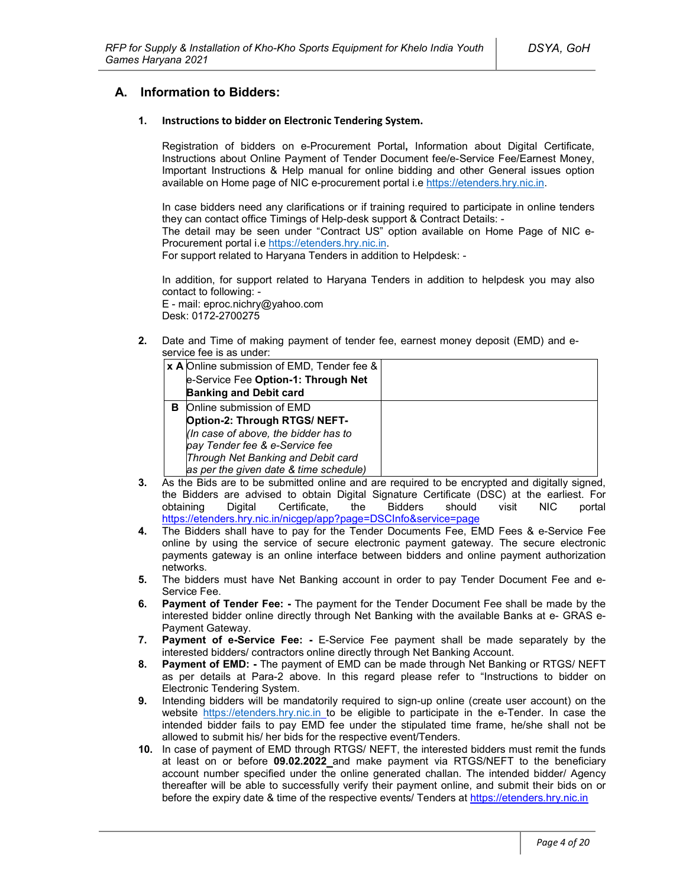### **A. Information to Bidders:**

#### **1. Instructions to bidder on Electronic Tendering System.**

Registration of bidders on e-Procurement Portal**,** Information about Digital Certificate, Instructions about Online Payment of Tender Document fee/e-Service Fee/Earnest Money, Important Instructions & Help manual for online bidding and other General issues option available on Home page of NIC e-procurement portal i.e https://etenders.hry.nic.in.

In case bidders need any clarifications or if training required to participate in online tenders they can contact office Timings of Help-desk support & Contract Details: -

The detail may be seen under "Contract US" option available on Home Page of NIC e-Procurement portal i.e https://etenders.hry.nic.in.

For support related to Haryana Tenders in addition to Helpdesk: -

In addition, for support related to Haryana Tenders in addition to helpdesk you may also contact to following: -

E - mail: eproc.nichry@yahoo.com Desk: 0172-2700275

**2.** Date and Time of making payment of tender fee, earnest money deposit (EMD) and eservice fee is as under:

|    | <b>x A</b> Online submission of EMD, Tender fee & |  |
|----|---------------------------------------------------|--|
|    | e-Service Fee Option-1: Through Net               |  |
|    | <b>Banking and Debit card</b>                     |  |
| в. | Online submission of EMD                          |  |
|    | Option-2: Through RTGS/ NEFT-                     |  |
|    | (In case of above, the bidder has to              |  |
|    | pay Tender fee & e-Service fee                    |  |
|    | Through Net Banking and Debit card                |  |
|    | as per the given date & time schedule)            |  |

- **3.** As the Bids are to be submitted online and are required to be encrypted and digitally signed, the Bidders are advised to obtain Digital Signature Certificate (DSC) at the earliest. For obtaining Digital Certificate, the Bidders should visit NIC portal https://etenders.hry.nic.in/nicgep/app?page=DSCInfo&service=page
- **4.** The Bidders shall have to pay for the Tender Documents Fee, EMD Fees & e-Service Fee online by using the service of secure electronic payment gateway. The secure electronic payments gateway is an online interface between bidders and online payment authorization networks.
- **5.** The bidders must have Net Banking account in order to pay Tender Document Fee and e-Service Fee.
- **6. Payment of Tender Fee: -** The payment for the Tender Document Fee shall be made by the interested bidder online directly through Net Banking with the available Banks at e- GRAS e-Payment Gateway.
- **7. Payment of e-Service Fee: -** E-Service Fee payment shall be made separately by the interested bidders/ contractors online directly through Net Banking Account.
- **8. Payment of EMD: -** The payment of EMD can be made through Net Banking or RTGS/ NEFT as per details at Para-2 above. In this regard please refer to "Instructions to bidder on Electronic Tendering System.
- **9.** Intending bidders will be mandatorily required to sign-up online (create user account) on the website https://etenders.hry.nic.in to be eligible to participate in the e-Tender. In case the intended bidder fails to pay EMD fee under the stipulated time frame, he/she shall not be allowed to submit his/ her bids for the respective event/Tenders.
- **10.** In case of payment of EMD through RTGS/ NEFT, the interested bidders must remit the funds at least on or before **09.02.2022** and make payment via RTGS/NEFT to the beneficiary account number specified under the online generated challan. The intended bidder/ Agency thereafter will be able to successfully verify their payment online, and submit their bids on or before the expiry date & time of the respective events/ Tenders at https://etenders.hry.nic.in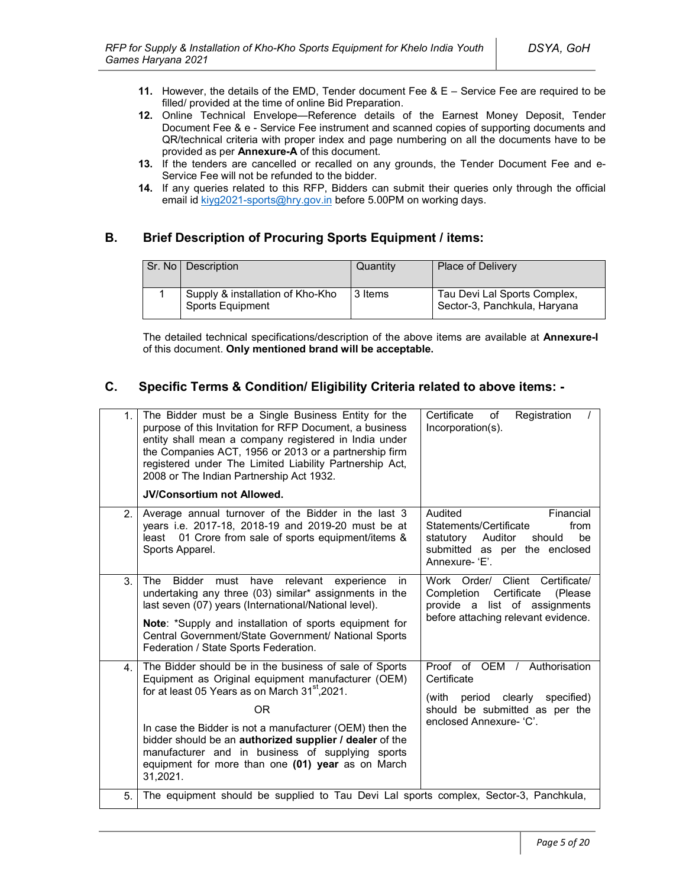- **11.** However, the details of the EMD, Tender document Fee & E Service Fee are required to be filled/ provided at the time of online Bid Preparation.
- **12.** Online Technical Envelope—Reference details of the Earnest Money Deposit, Tender Document Fee & e - Service Fee instrument and scanned copies of supporting documents and QR/technical criteria with proper index and page numbering on all the documents have to be provided as per **Annexure-A** of this document.
- **13.** If the tenders are cancelled or recalled on any grounds, the Tender Document Fee and e-Service Fee will not be refunded to the bidder.
- **14.** If any queries related to this RFP, Bidders can submit their queries only through the official email id kiyg2021-sports@hry.gov.in before 5.00PM on working days.

## **B. Brief Description of Procuring Sports Equipment / items:**

| Sr. No I | Description                                                 | Quantity | Place of Delivery                                            |
|----------|-------------------------------------------------------------|----------|--------------------------------------------------------------|
|          | Supply & installation of Kho-Kho<br><b>Sports Equipment</b> | 3 Items  | Tau Devi Lal Sports Complex,<br>Sector-3, Panchkula, Haryana |

The detailed technical specifications/description of the above items are available at **Annexure-I** of this document. **Only mentioned brand will be acceptable.**

## **C. Specific Terms & Condition/ Eligibility Criteria related to above items: -**

| 1.             | The Bidder must be a Single Business Entity for the<br>purpose of this Invitation for RFP Document, a business<br>entity shall mean a company registered in India under<br>the Companies ACT, 1956 or 2013 or a partnership firm<br>registered under The Limited Liability Partnership Act,<br>2008 or The Indian Partnership Act 1932.<br><b>JV/Consortium not Allowed.</b>                                                       | Certificate<br>Registration<br>of<br>Incorporation(s).                                                                                               |
|----------------|------------------------------------------------------------------------------------------------------------------------------------------------------------------------------------------------------------------------------------------------------------------------------------------------------------------------------------------------------------------------------------------------------------------------------------|------------------------------------------------------------------------------------------------------------------------------------------------------|
| 2 <sup>2</sup> | Average annual turnover of the Bidder in the last 3<br>years i.e. 2017-18, 2018-19 and 2019-20 must be at<br>01 Crore from sale of sports equipment/items &<br>least<br>Sports Apparel.                                                                                                                                                                                                                                            | Audited<br>Financial<br>Statements/Certificate<br>from<br>be<br>statutory<br>Auditor<br>should<br>submitted as per the enclosed<br>Annexure-'E'.     |
| 3.             | <b>Bidder</b><br>relevant<br>The<br>must<br>have<br>experience<br>in.<br>undertaking any three (03) similar* assignments in the<br>last seven (07) years (International/National level).<br>Note: *Supply and installation of sports equipment for<br>Central Government/State Government/ National Sports<br>Federation / State Sports Federation.                                                                                | Work Order/ Client Certificate/<br>Certificate<br>Completion<br>(Please)<br>provide a list of assignments<br>before attaching relevant evidence.     |
| 4 <sup>1</sup> | The Bidder should be in the business of sale of Sports<br>Equipment as Original equipment manufacturer (OEM)<br>for at least 05 Years as on March 31 <sup>st</sup> , 2021.<br><b>OR</b><br>In case the Bidder is not a manufacturer (OEM) then the<br>bidder should be an authorized supplier / dealer of the<br>manufacturer and in business of supplying sports<br>equipment for more than one (01) year as on March<br>31,2021. | Proof of OEM / Authorisation<br>Certificate<br>clearly<br>specified)<br>(with<br>period<br>should be submitted as per the<br>enclosed Annexure- 'C'. |
| 5.             | The equipment should be supplied to Tau Devi Lal sports complex, Sector-3, Panchkula,                                                                                                                                                                                                                                                                                                                                              |                                                                                                                                                      |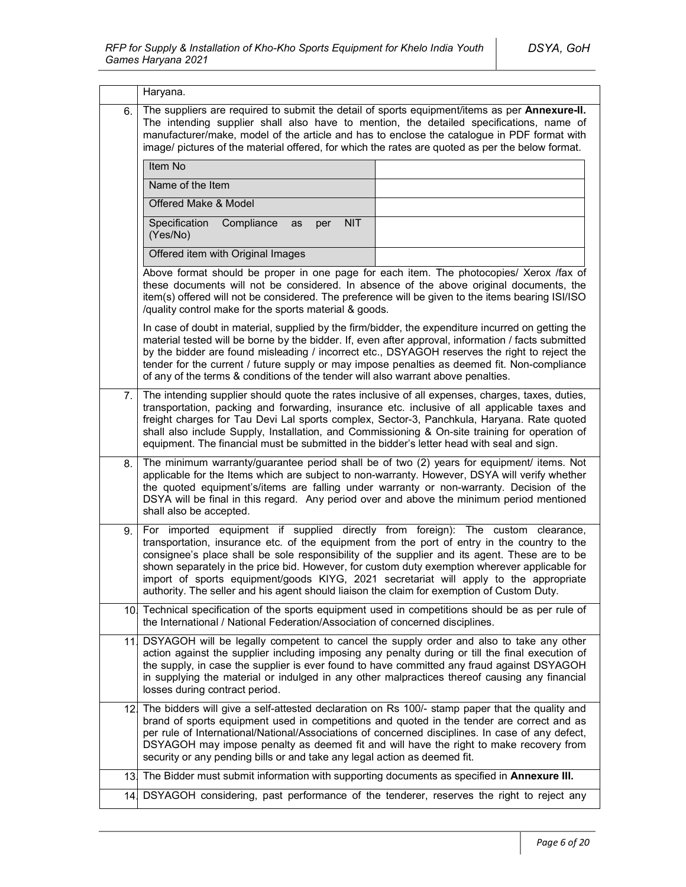|     | Haryana.                                                                                                                                                                                                                                                                                                                                                                                                                                                                                                                                                                  |  |  |  |
|-----|---------------------------------------------------------------------------------------------------------------------------------------------------------------------------------------------------------------------------------------------------------------------------------------------------------------------------------------------------------------------------------------------------------------------------------------------------------------------------------------------------------------------------------------------------------------------------|--|--|--|
| 6.  | The suppliers are required to submit the detail of sports equipment/items as per Annexure-II.<br>The intending supplier shall also have to mention, the detailed specifications, name of<br>manufacturer/make, model of the article and has to enclose the catalogue in PDF format with<br>image/ pictures of the material offered, for which the rates are quoted as per the below format.                                                                                                                                                                               |  |  |  |
|     | Item No                                                                                                                                                                                                                                                                                                                                                                                                                                                                                                                                                                   |  |  |  |
|     | Name of the Item                                                                                                                                                                                                                                                                                                                                                                                                                                                                                                                                                          |  |  |  |
|     | Offered Make & Model                                                                                                                                                                                                                                                                                                                                                                                                                                                                                                                                                      |  |  |  |
|     | Specification<br><b>NIT</b><br>Compliance<br>as<br>per<br>(Yes/No)                                                                                                                                                                                                                                                                                                                                                                                                                                                                                                        |  |  |  |
|     | Offered item with Original Images                                                                                                                                                                                                                                                                                                                                                                                                                                                                                                                                         |  |  |  |
|     | Above format should be proper in one page for each item. The photocopies/ Xerox /fax of<br>these documents will not be considered. In absence of the above original documents, the<br>item(s) offered will not be considered. The preference will be given to the items bearing ISI/ISO<br>/quality control make for the sports material & goods.                                                                                                                                                                                                                         |  |  |  |
|     | In case of doubt in material, supplied by the firm/bidder, the expenditure incurred on getting the<br>material tested will be borne by the bidder. If, even after approval, information / facts submitted<br>by the bidder are found misleading / incorrect etc., DSYAGOH reserves the right to reject the<br>tender for the current / future supply or may impose penalties as deemed fit. Non-compliance<br>of any of the terms & conditions of the tender will also warrant above penalties.                                                                           |  |  |  |
| 7.  | The intending supplier should quote the rates inclusive of all expenses, charges, taxes, duties,<br>transportation, packing and forwarding, insurance etc. inclusive of all applicable taxes and<br>freight charges for Tau Devi Lal sports complex, Sector-3, Panchkula, Haryana. Rate quoted<br>shall also include Supply, Installation, and Commissioning & On-site training for operation of<br>equipment. The financial must be submitted in the bidder's letter head with seal and sign.                                                                            |  |  |  |
| 8.  | The minimum warranty/guarantee period shall be of two (2) years for equipment/ items. Not<br>applicable for the Items which are subject to non-warranty. However, DSYA will verify whether<br>the quoted equipment's/items are falling under warranty or non-warranty. Decision of the<br>DSYA will be final in this regard. Any period over and above the minimum period mentioned<br>shall also be accepted.                                                                                                                                                            |  |  |  |
| 9.  | For imported equipment if supplied directly from foreign): The custom clearance,<br>transportation, insurance etc. of the equipment from the port of entry in the country to the<br>consignee's place shall be sole responsibility of the supplier and its agent. These are to be<br>shown separately in the price bid. However, for custom duty exemption wherever applicable for<br>import of sports equipment/goods KIYG, 2021 secretariat will apply to the appropriate<br>authority. The seller and his agent should liaison the claim for exemption of Custom Duty. |  |  |  |
| 10. | Technical specification of the sports equipment used in competitions should be as per rule of<br>the International / National Federation/Association of concerned disciplines.                                                                                                                                                                                                                                                                                                                                                                                            |  |  |  |
| 11  | DSYAGOH will be legally competent to cancel the supply order and also to take any other<br>action against the supplier including imposing any penalty during or till the final execution of<br>the supply, in case the supplier is ever found to have committed any fraud against DSYAGOH<br>in supplying the material or indulged in any other malpractices thereof causing any financial<br>losses during contract period.                                                                                                                                              |  |  |  |
|     | 12. The bidders will give a self-attested declaration on Rs 100/- stamp paper that the quality and<br>brand of sports equipment used in competitions and quoted in the tender are correct and as<br>per rule of International/National/Associations of concerned disciplines. In case of any defect,<br>DSYAGOH may impose penalty as deemed fit and will have the right to make recovery from<br>security or any pending bills or and take any legal action as deemed fit.                                                                                               |  |  |  |
| 13. | The Bidder must submit information with supporting documents as specified in Annexure III.                                                                                                                                                                                                                                                                                                                                                                                                                                                                                |  |  |  |
| 14. | DSYAGOH considering, past performance of the tenderer, reserves the right to reject any                                                                                                                                                                                                                                                                                                                                                                                                                                                                                   |  |  |  |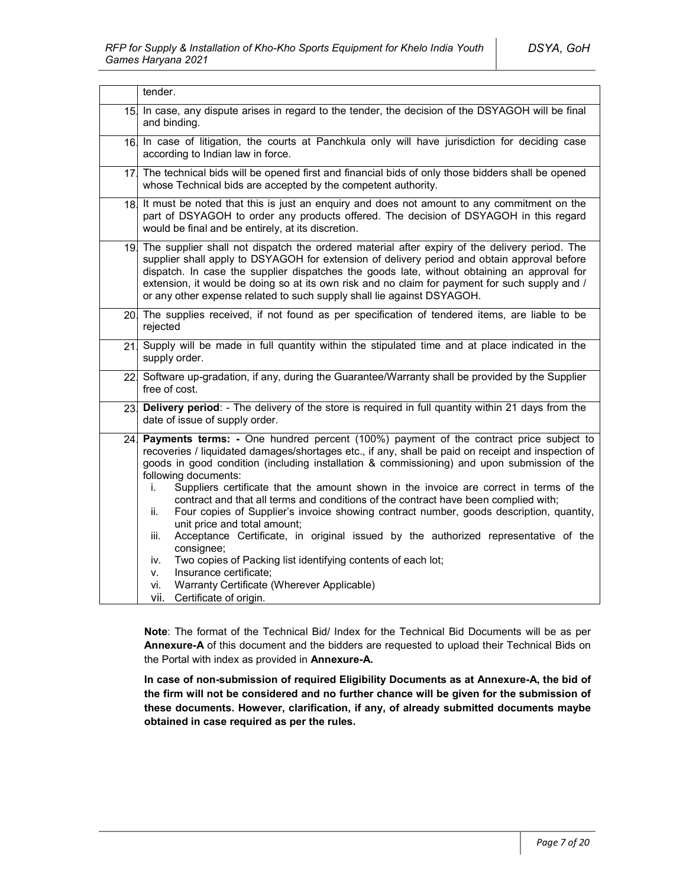|     | tender.                                                                                                                                                                                                                                                                                                                                                                                                                                                                                                                                                                                                                                                                                                                                                                                                                                                                                                                                               |  |
|-----|-------------------------------------------------------------------------------------------------------------------------------------------------------------------------------------------------------------------------------------------------------------------------------------------------------------------------------------------------------------------------------------------------------------------------------------------------------------------------------------------------------------------------------------------------------------------------------------------------------------------------------------------------------------------------------------------------------------------------------------------------------------------------------------------------------------------------------------------------------------------------------------------------------------------------------------------------------|--|
| 15. | In case, any dispute arises in regard to the tender, the decision of the DSYAGOH will be final<br>and binding.                                                                                                                                                                                                                                                                                                                                                                                                                                                                                                                                                                                                                                                                                                                                                                                                                                        |  |
|     | 16. In case of litigation, the courts at Panchkula only will have jurisdiction for deciding case<br>according to Indian law in force.                                                                                                                                                                                                                                                                                                                                                                                                                                                                                                                                                                                                                                                                                                                                                                                                                 |  |
|     | 17 The technical bids will be opened first and financial bids of only those bidders shall be opened<br>whose Technical bids are accepted by the competent authority.                                                                                                                                                                                                                                                                                                                                                                                                                                                                                                                                                                                                                                                                                                                                                                                  |  |
| 18. | It must be noted that this is just an enguiry and does not amount to any commitment on the<br>part of DSYAGOH to order any products offered. The decision of DSYAGOH in this regard<br>would be final and be entirely, at its discretion.                                                                                                                                                                                                                                                                                                                                                                                                                                                                                                                                                                                                                                                                                                             |  |
|     | 19. The supplier shall not dispatch the ordered material after expiry of the delivery period. The<br>supplier shall apply to DSYAGOH for extension of delivery period and obtain approval before<br>dispatch. In case the supplier dispatches the goods late, without obtaining an approval for<br>extension, it would be doing so at its own risk and no claim for payment for such supply and /<br>or any other expense related to such supply shall lie against DSYAGOH.                                                                                                                                                                                                                                                                                                                                                                                                                                                                           |  |
|     | 20. The supplies received, if not found as per specification of tendered items, are liable to be<br>rejected                                                                                                                                                                                                                                                                                                                                                                                                                                                                                                                                                                                                                                                                                                                                                                                                                                          |  |
| 21  | Supply will be made in full quantity within the stipulated time and at place indicated in the<br>supply order.                                                                                                                                                                                                                                                                                                                                                                                                                                                                                                                                                                                                                                                                                                                                                                                                                                        |  |
|     | 22 Software up-gradation, if any, during the Guarantee/Warranty shall be provided by the Supplier<br>free of cost.                                                                                                                                                                                                                                                                                                                                                                                                                                                                                                                                                                                                                                                                                                                                                                                                                                    |  |
| 23. | Delivery period: - The delivery of the store is required in full quantity within 21 days from the<br>date of issue of supply order.                                                                                                                                                                                                                                                                                                                                                                                                                                                                                                                                                                                                                                                                                                                                                                                                                   |  |
| 24. | Payments terms: - One hundred percent (100%) payment of the contract price subject to<br>recoveries / liquidated damages/shortages etc., if any, shall be paid on receipt and inspection of<br>goods in good condition (including installation & commissioning) and upon submission of the<br>following documents:<br>Suppliers certificate that the amount shown in the invoice are correct in terms of the<br>İ.<br>contract and that all terms and conditions of the contract have been complied with;<br>Four copies of Supplier's invoice showing contract number, goods description, quantity,<br>ii.<br>unit price and total amount;<br>Acceptance Certificate, in original issued by the authorized representative of the<br>iii.<br>consignee;<br>Two copies of Packing list identifying contents of each lot;<br>iv.<br>Insurance certificate;<br>٧.<br>Warranty Certificate (Wherever Applicable)<br>vi.<br>vii.<br>Certificate of origin. |  |

**Note**: The format of the Technical Bid/ Index for the Technical Bid Documents will be as per **Annexure-A** of this document and the bidders are requested to upload their Technical Bids on the Portal with index as provided in **Annexure-A.**

**In case of non-submission of required Eligibility Documents as at Annexure-A, the bid of the firm will not be considered and no further chance will be given for the submission of these documents. However, clarification, if any, of already submitted documents maybe obtained in case required as per the rules.**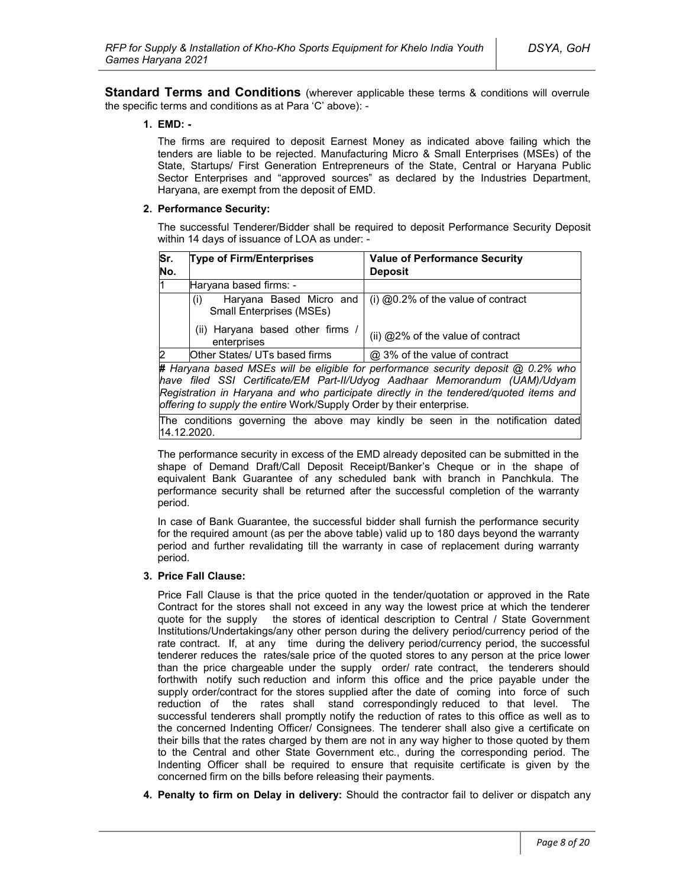**Standard Terms and Conditions** (wherever applicable these terms & conditions will overrule the specific terms and conditions as at Para 'C' above): -

#### **1. EMD: -**

The firms are required to deposit Earnest Money as indicated above failing which the tenders are liable to be rejected. Manufacturing Micro & Small Enterprises (MSEs) of the State, Startups/ First Generation Entrepreneurs of the State, Central or Haryana Public Sector Enterprises and "approved sources" as declared by the Industries Department, Haryana, are exempt from the deposit of EMD.

#### **2. Performance Security:**

The successful Tenderer/Bidder shall be required to deposit Performance Security Deposit within 14 days of issuance of LOA as under: -

| Sr.<br><b>Type of Firm/Enterprises</b><br>No.<br><b>Deposit</b> |                                                                                            | <b>Value of Performance Security</b>                          |  |
|-----------------------------------------------------------------|--------------------------------------------------------------------------------------------|---------------------------------------------------------------|--|
|                                                                 | Haryana based firms: -                                                                     |                                                               |  |
|                                                                 | (i)<br><b>Small Enterprises (MSEs)</b>                                                     | Haryana Based Micro and $($ i) @0.2% of the value of contract |  |
| (ii) Haryana based other firms<br>enterprises                   |                                                                                            | (ii) @2% of the value of contract                             |  |
| 2                                                               | Other States/ UTs based firms                                                              | @ 3% of the value of contract                                 |  |
|                                                                 | <b># Harvana hased MSEs will be eligible for performance security denosit @ 0.2% who l</b> |                                                               |  |

**#** *Haryana based MSEs will be eligible for performance security deposit @ 0.2% who have filed SSI Certificate/EM Part-II/Udyog Aadhaar Memorandum (UAM)/Udyam Registration in Haryana and who participate directly in the tendered/quoted items and offering to supply the entire* Work/Supply Order by their enterprise*.*

The conditions governing the above may kindly be seen in the notification dated 14.12.2020.

The performance security in excess of the EMD already deposited can be submitted in the shape of Demand Draft/Call Deposit Receipt/Banker's Cheque or in the shape of equivalent Bank Guarantee of any scheduled bank with branch in Panchkula. The performance security shall be returned after the successful completion of the warranty period.

In case of Bank Guarantee, the successful bidder shall furnish the performance security for the required amount (as per the above table) valid up to 180 days beyond the warranty period and further revalidating till the warranty in case of replacement during warranty period.

#### **3. Price Fall Clause:**

Price Fall Clause is that the price quoted in the tender/quotation or approved in the Rate Contract for the stores shall not exceed in any way the lowest price at which the tenderer quote for the supply the stores of identical description to Central / State Government Institutions/Undertakings/any other person during the delivery period/currency period of the rate contract. If, at any time during the delivery period/currency period, the successful tenderer reduces the rates/sale price of the quoted stores to any person at the price lower than the price chargeable under the supply order/ rate contract, the tenderers should forthwith notify such reduction and inform this office and the price payable under the supply order/contract for the stores supplied after the date of coming into force of such reduction of the rates shall stand correspondingly reduced to that level. The successful tenderers shall promptly notify the reduction of rates to this office as well as to the concerned Indenting Officer/ Consignees. The tenderer shall also give a certificate on their bills that the rates charged by them are not in any way higher to those quoted by them to the Central and other State Government etc., during the corresponding period. The Indenting Officer shall be required to ensure that requisite certificate is given by the concerned firm on the bills before releasing their payments.

**4. Penalty to firm on Delay in delivery:** Should the contractor fail to deliver or dispatch any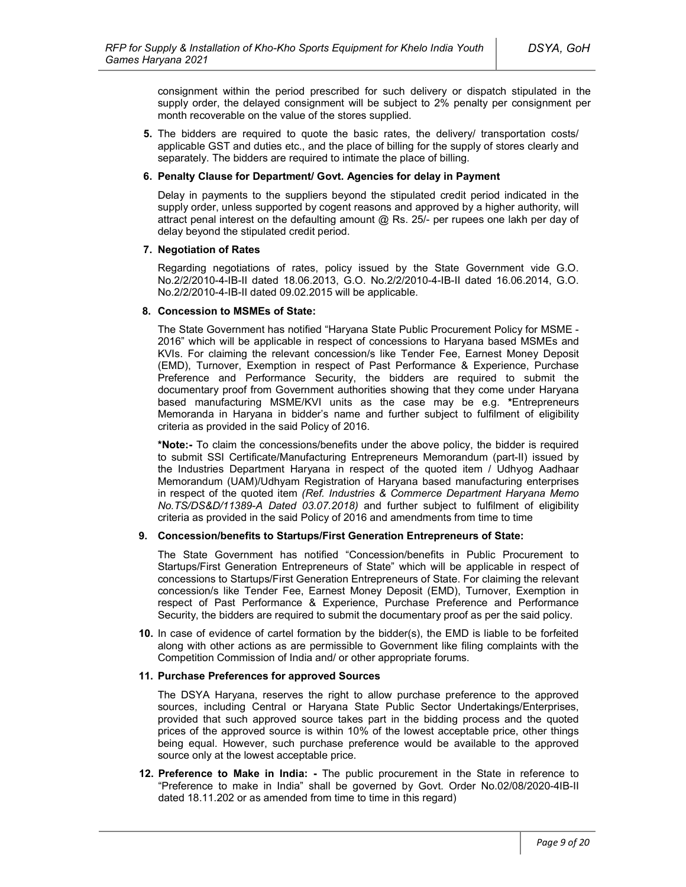consignment within the period prescribed for such delivery or dispatch stipulated in the supply order, the delayed consignment will be subject to 2% penalty per consignment per month recoverable on the value of the stores supplied.

**5.** The bidders are required to quote the basic rates, the delivery/ transportation costs/ applicable GST and duties etc., and the place of billing for the supply of stores clearly and separately. The bidders are required to intimate the place of billing.

#### **6. Penalty Clause for Department/ Govt. Agencies for delay in Payment**

Delay in payments to the suppliers beyond the stipulated credit period indicated in the supply order, unless supported by cogent reasons and approved by a higher authority, will attract penal interest on the defaulting amount  $@$  Rs. 25/- per rupees one lakh per day of delay beyond the stipulated credit period.

#### **7. Negotiation of Rates**

Regarding negotiations of rates, policy issued by the State Government vide G.O. No.2/2/2010-4-IB-II dated 18.06.2013, G.O. No.2/2/2010-4-IB-II dated 16.06.2014, G.O. No.2/2/2010-4-IB-II dated 09.02.2015 will be applicable.

#### **8. Concession to MSMEs of State:**

The State Government has notified "Haryana State Public Procurement Policy for MSME - 2016" which will be applicable in respect of concessions to Haryana based MSMEs and KVIs. For claiming the relevant concession/s like Tender Fee, Earnest Money Deposit (EMD), Turnover, Exemption in respect of Past Performance & Experience, Purchase Preference and Performance Security, the bidders are required to submit the documentary proof from Government authorities showing that they come under Haryana based manufacturing MSME/KVI units as the case may be e.g. **\***Entrepreneurs Memoranda in Haryana in bidder's name and further subject to fulfilment of eligibility criteria as provided in the said Policy of 2016.

**\*Note:-** To claim the concessions/benefits under the above policy, the bidder is required to submit SSI Certificate/Manufacturing Entrepreneurs Memorandum (part-II) issued by the Industries Department Haryana in respect of the quoted item / Udhyog Aadhaar Memorandum (UAM)/Udhyam Registration of Haryana based manufacturing enterprises in respect of the quoted item *(Ref. Industries & Commerce Department Haryana Memo No.TS/DS&D/11389-A Dated 03.07.2018)* and further subject to fulfilment of eligibility criteria as provided in the said Policy of 2016 and amendments from time to time

### **9. Concession/benefits to Startups/First Generation Entrepreneurs of State:**

The State Government has notified "Concession/benefits in Public Procurement to Startups/First Generation Entrepreneurs of State" which will be applicable in respect of concessions to Startups/First Generation Entrepreneurs of State. For claiming the relevant concession/s like Tender Fee, Earnest Money Deposit (EMD), Turnover, Exemption in respect of Past Performance & Experience, Purchase Preference and Performance Security, the bidders are required to submit the documentary proof as per the said policy.

**10.** In case of evidence of cartel formation by the bidder(s), the EMD is liable to be forfeited along with other actions as are permissible to Government like filing complaints with the Competition Commission of India and/ or other appropriate forums.

#### **11. Purchase Preferences for approved Sources**

The DSYA Haryana, reserves the right to allow purchase preference to the approved sources, including Central or Haryana State Public Sector Undertakings/Enterprises, provided that such approved source takes part in the bidding process and the quoted prices of the approved source is within 10% of the lowest acceptable price, other things being equal. However, such purchase preference would be available to the approved source only at the lowest acceptable price.

**12. Preference to Make in India: -** The public procurement in the State in reference to "Preference to make in India" shall be governed by Govt. Order No.02/08/2020-4IB-II dated 18.11.202 or as amended from time to time in this regard)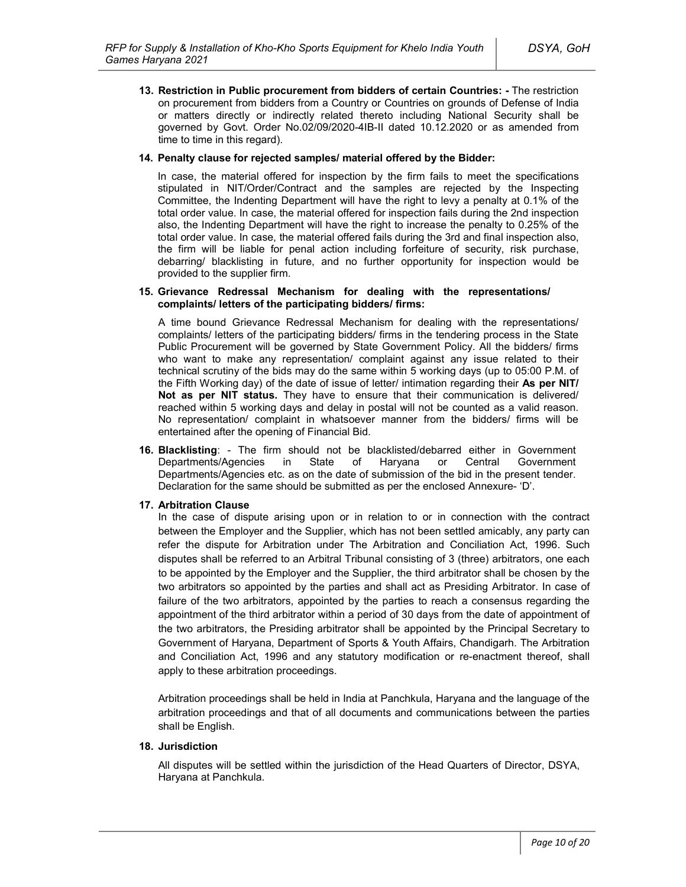**13. Restriction in Public procurement from bidders of certain Countries: -** The restriction on procurement from bidders from a Country or Countries on grounds of Defense of India or matters directly or indirectly related thereto including National Security shall be governed by Govt. Order No.02/09/2020-4IB-II dated 10.12.2020 or as amended from time to time in this regard).

#### **14. Penalty clause for rejected samples/ material offered by the Bidder:**

In case, the material offered for inspection by the firm fails to meet the specifications stipulated in NIT/Order/Contract and the samples are rejected by the Inspecting Committee, the Indenting Department will have the right to levy a penalty at 0.1% of the total order value. In case, the material offered for inspection fails during the 2nd inspection also, the Indenting Department will have the right to increase the penalty to 0.25% of the total order value. In case, the material offered fails during the 3rd and final inspection also, the firm will be liable for penal action including forfeiture of security, risk purchase, debarring/ blacklisting in future, and no further opportunity for inspection would be provided to the supplier firm.

#### **15. Grievance Redressal Mechanism for dealing with the representations/ complaints/ letters of the participating bidders/ firms:**

A time bound Grievance Redressal Mechanism for dealing with the representations/ complaints/ letters of the participating bidders/ firms in the tendering process in the State Public Procurement will be governed by State Government Policy. All the bidders/ firms who want to make any representation/ complaint against any issue related to their technical scrutiny of the bids may do the same within 5 working days (up to 05:00 P.M. of the Fifth Working day) of the date of issue of letter/ intimation regarding their **As per NIT/ Not as per NIT status.** They have to ensure that their communication is delivered/ reached within 5 working days and delay in postal will not be counted as a valid reason. No representation/ complaint in whatsoever manner from the bidders/ firms will be entertained after the opening of Financial Bid.

**16. Blacklisting**: - The firm should not be blacklisted/debarred either in Government Departments/Agencies in State of Haryana or Central Government Departments/Agencies etc. as on the date of submission of the bid in the present tender. Declaration for the same should be submitted as per the enclosed Annexure- 'D'.

### **17. Arbitration Clause**

In the case of dispute arising upon or in relation to or in connection with the contract between the Employer and the Supplier, which has not been settled amicably, any party can refer the dispute for Arbitration under The Arbitration and Conciliation Act, 1996. Such disputes shall be referred to an Arbitral Tribunal consisting of 3 (three) arbitrators, one each to be appointed by the Employer and the Supplier, the third arbitrator shall be chosen by the two arbitrators so appointed by the parties and shall act as Presiding Arbitrator. In case of failure of the two arbitrators, appointed by the parties to reach a consensus regarding the appointment of the third arbitrator within a period of 30 days from the date of appointment of the two arbitrators, the Presiding arbitrator shall be appointed by the Principal Secretary to Government of Haryana, Department of Sports & Youth Affairs, Chandigarh. The Arbitration and Conciliation Act, 1996 and any statutory modification or re-enactment thereof, shall apply to these arbitration proceedings.

Arbitration proceedings shall be held in India at Panchkula, Haryana and the language of the arbitration proceedings and that of all documents and communications between the parties shall be English.

### **18. Jurisdiction**

All disputes will be settled within the jurisdiction of the Head Quarters of Director, DSYA, Haryana at Panchkula.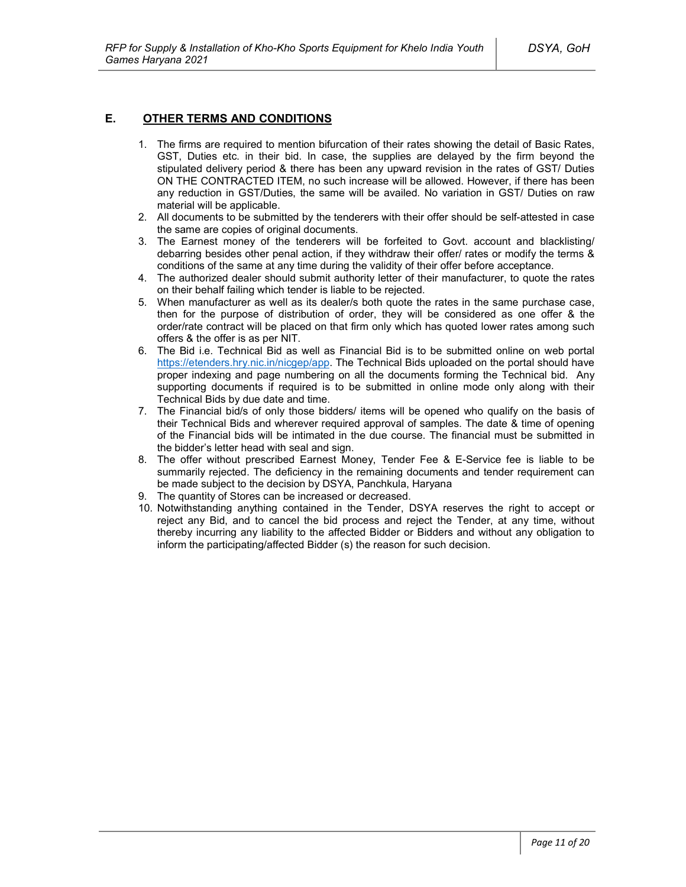### **E. OTHER TERMS AND CONDITIONS**

- 1. The firms are required to mention bifurcation of their rates showing the detail of Basic Rates, GST, Duties etc. in their bid. In case, the supplies are delayed by the firm beyond the stipulated delivery period & there has been any upward revision in the rates of GST/ Duties ON THE CONTRACTED ITEM, no such increase will be allowed. However, if there has been any reduction in GST/Duties, the same will be availed. No variation in GST/ Duties on raw material will be applicable.
- 2. All documents to be submitted by the tenderers with their offer should be self-attested in case the same are copies of original documents.
- 3. The Earnest money of the tenderers will be forfeited to Govt. account and blacklisting/ debarring besides other penal action, if they withdraw their offer/ rates or modify the terms & conditions of the same at any time during the validity of their offer before acceptance.
- 4. The authorized dealer should submit authority letter of their manufacturer, to quote the rates on their behalf failing which tender is liable to be rejected.
- 5. When manufacturer as well as its dealer/s both quote the rates in the same purchase case, then for the purpose of distribution of order, they will be considered as one offer & the order/rate contract will be placed on that firm only which has quoted lower rates among such offers & the offer is as per NIT.
- 6. The Bid i.e. Technical Bid as well as Financial Bid is to be submitted online on web portal https://etenders.hry.nic.in/nicgep/app. The Technical Bids uploaded on the portal should have proper indexing and page numbering on all the documents forming the Technical bid. Any supporting documents if required is to be submitted in online mode only along with their Technical Bids by due date and time.
- 7. The Financial bid/s of only those bidders/ items will be opened who qualify on the basis of their Technical Bids and wherever required approval of samples. The date & time of opening of the Financial bids will be intimated in the due course. The financial must be submitted in the bidder's letter head with seal and sign.
- 8. The offer without prescribed Earnest Money, Tender Fee & E-Service fee is liable to be summarily rejected. The deficiency in the remaining documents and tender requirement can be made subject to the decision by DSYA, Panchkula, Haryana
- 9. The quantity of Stores can be increased or decreased.
- 10. Notwithstanding anything contained in the Tender, DSYA reserves the right to accept or reject any Bid, and to cancel the bid process and reject the Tender, at any time, without thereby incurring any liability to the affected Bidder or Bidders and without any obligation to inform the participating/affected Bidder (s) the reason for such decision.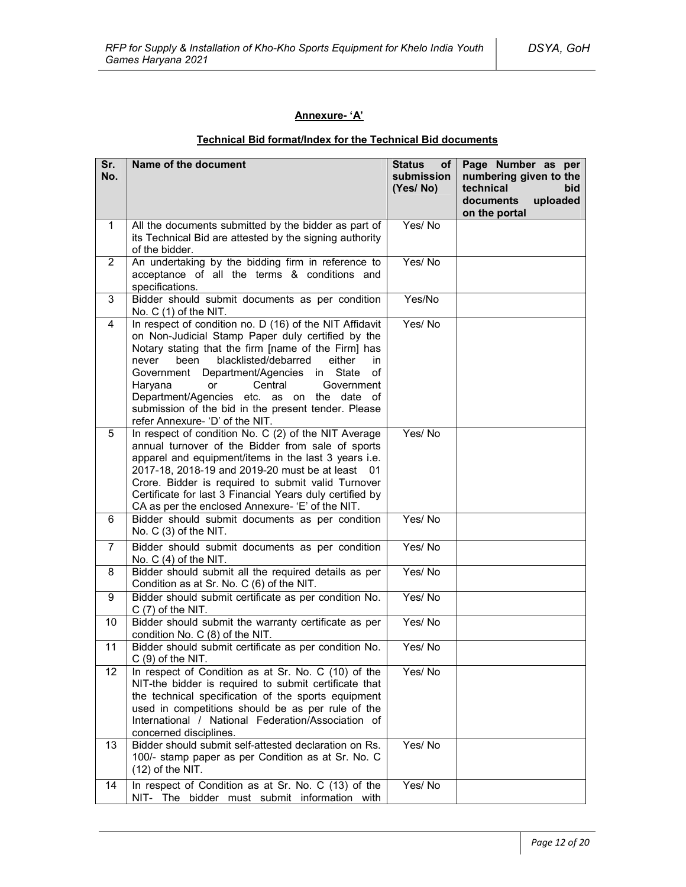### **Annexure- 'A'**

## **Technical Bid format/Index for the Technical Bid documents**

| Sr.<br>No.     | Name of the document                                                                                                                                                                                                                                                                                                                                                                                                                                                            | <b>Status</b><br>оf<br>submission<br>(Yes/No) | Page Number as per<br>numbering given to the<br>technical<br>bid<br>documents<br>uploaded<br>on the portal |
|----------------|---------------------------------------------------------------------------------------------------------------------------------------------------------------------------------------------------------------------------------------------------------------------------------------------------------------------------------------------------------------------------------------------------------------------------------------------------------------------------------|-----------------------------------------------|------------------------------------------------------------------------------------------------------------|
| $\mathbf 1$    | All the documents submitted by the bidder as part of<br>its Technical Bid are attested by the signing authority<br>of the bidder.                                                                                                                                                                                                                                                                                                                                               | Yes/No                                        |                                                                                                            |
| $\overline{2}$ | An undertaking by the bidding firm in reference to<br>acceptance of all the terms & conditions and<br>specifications.                                                                                                                                                                                                                                                                                                                                                           | Yes/No                                        |                                                                                                            |
| 3              | Bidder should submit documents as per condition<br>No. $C(1)$ of the NIT.                                                                                                                                                                                                                                                                                                                                                                                                       | Yes/No                                        |                                                                                                            |
| 4              | In respect of condition no. D (16) of the NIT Affidavit<br>on Non-Judicial Stamp Paper duly certified by the<br>Notary stating that the firm [name of the Firm] has<br>blacklisted/debarred<br>been<br>either<br>in<br>never<br>Department/Agencies<br>in<br>State<br>of<br>Government<br>Haryana<br>Central<br><b>or</b><br>Government<br>Department/Agencies etc. as on the date of<br>submission of the bid in the present tender. Please<br>refer Annexure- 'D' of the NIT. | Yes/No                                        |                                                                                                            |
| 5              | In respect of condition No. C (2) of the NIT Average<br>annual turnover of the Bidder from sale of sports<br>apparel and equipment/items in the last 3 years i.e.<br>2017-18, 2018-19 and 2019-20 must be at least 01<br>Crore. Bidder is required to submit valid Turnover<br>Certificate for last 3 Financial Years duly certified by<br>CA as per the enclosed Annexure- 'E' of the NIT.                                                                                     | Yes/No                                        |                                                                                                            |
| 6              | Bidder should submit documents as per condition<br>No. C (3) of the NIT.                                                                                                                                                                                                                                                                                                                                                                                                        | Yes/No                                        |                                                                                                            |
| $\overline{7}$ | Bidder should submit documents as per condition<br>No. $C(4)$ of the NIT.                                                                                                                                                                                                                                                                                                                                                                                                       | Yes/No                                        |                                                                                                            |
| 8              | Bidder should submit all the required details as per<br>Condition as at Sr. No. C (6) of the NIT.                                                                                                                                                                                                                                                                                                                                                                               | Yes/No                                        |                                                                                                            |
| 9              | Bidder should submit certificate as per condition No.<br>$C(7)$ of the NIT.                                                                                                                                                                                                                                                                                                                                                                                                     | Yes/No                                        |                                                                                                            |
| 10             | Bidder should submit the warranty certificate as per<br>condition No. C (8) of the NIT.                                                                                                                                                                                                                                                                                                                                                                                         | Yes/No                                        |                                                                                                            |
| 11             | Bidder should submit certificate as per condition No.<br>$C(9)$ of the NIT.                                                                                                                                                                                                                                                                                                                                                                                                     | Yes/No                                        |                                                                                                            |
| 12             | In respect of Condition as at Sr. No. C (10) of the<br>NIT-the bidder is required to submit certificate that<br>the technical specification of the sports equipment<br>used in competitions should be as per rule of the<br>International / National Federation/Association of<br>concerned disciplines.                                                                                                                                                                        | Yes/No                                        |                                                                                                            |
| 13             | Bidder should submit self-attested declaration on Rs.<br>100/- stamp paper as per Condition as at Sr. No. C<br>$(12)$ of the NIT.                                                                                                                                                                                                                                                                                                                                               | Yes/No                                        |                                                                                                            |
| 14             | In respect of Condition as at Sr. No. C (13) of the<br>NIT- The bidder must submit information with                                                                                                                                                                                                                                                                                                                                                                             | Yes/No                                        |                                                                                                            |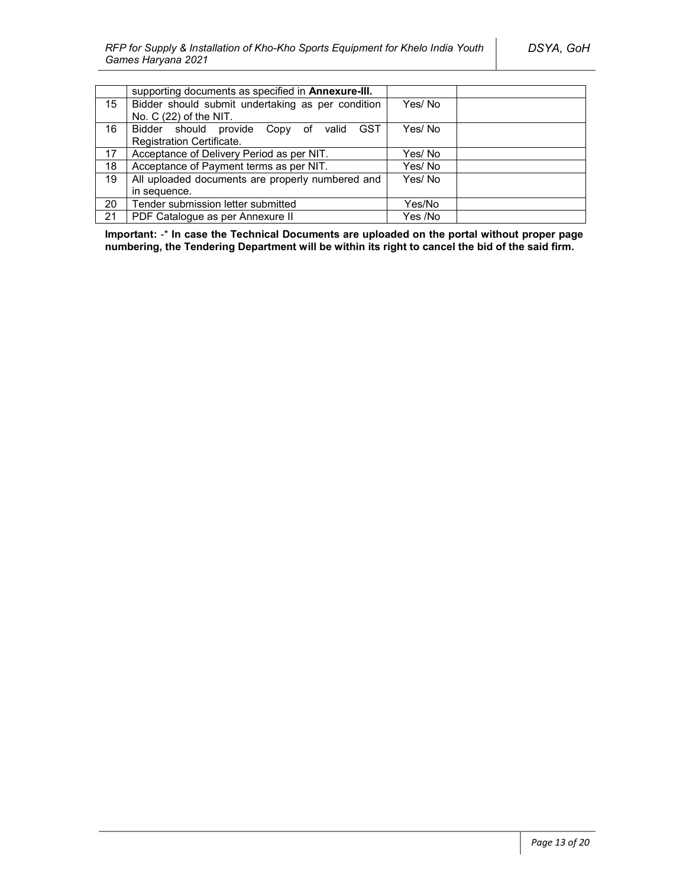|    | supporting documents as specified in Annexure-III.   |         |
|----|------------------------------------------------------|---------|
| 15 | Bidder should submit undertaking as per condition    | Yes/No  |
|    | No. C (22) of the NIT.                               |         |
| 16 | <b>GST</b><br>Bidder should provide Copy of<br>valid | Yes/ No |
|    | Registration Certificate.                            |         |
| 17 | Acceptance of Delivery Period as per NIT.            | Yes/ No |
| 18 | Acceptance of Payment terms as per NIT.              | Yes/No  |
| 19 | All uploaded documents are properly numbered and     | Yes/No  |
|    | in sequence.                                         |         |
| 20 | Tender submission letter submitted                   | Yes/No  |
| 21 | PDF Catalogue as per Annexure II                     | Yes /No |

**Important:** -\* **In case the Technical Documents are uploaded on the portal without proper page numbering, the Tendering Department will be within its right to cancel the bid of the said firm.**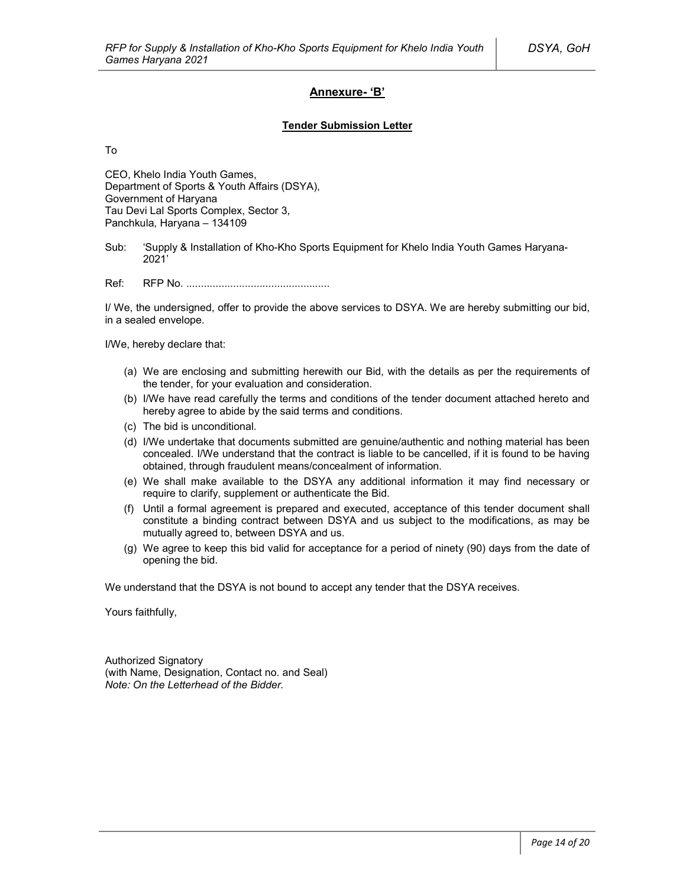### **Annexure- 'B'**

#### **Tender Submission Letter**

To

CEO, Khelo India Youth Games, Department of Sports & Youth Affairs (DSYA), Government of Haryana Tau Devi Lal Sports Complex, Sector 3, Panchkula, Haryana – 134109

Sub: 'Supply & Installation of Kho-Kho Sports Equipment for Khelo India Youth Games Haryana-2021'

Ref: RFP No. .................................................

I/ We, the undersigned, offer to provide the above services to DSYA. We are hereby submitting our bid, in a sealed envelope.

I/We, hereby declare that:

- (a) We are enclosing and submitting herewith our Bid, with the details as per the requirements of the tender, for your evaluation and consideration.
- (b) I/We have read carefully the terms and conditions of the tender document attached hereto and hereby agree to abide by the said terms and conditions.
- (c) The bid is unconditional.
- (d) I/We undertake that documents submitted are genuine/authentic and nothing material has been concealed. I/We understand that the contract is liable to be cancelled, if it is found to be having obtained, through fraudulent means/concealment of information.
- (e) We shall make available to the DSYA any additional information it may find necessary or require to clarify, supplement or authenticate the Bid.
- (f) Until a formal agreement is prepared and executed, acceptance of this tender document shall constitute a binding contract between DSYA and us subject to the modifications, as may be mutually agreed to, between DSYA and us.
- (g) We agree to keep this bid valid for acceptance for a period of ninety (90) days from the date of opening the bid.

We understand that the DSYA is not bound to accept any tender that the DSYA receives.

Yours faithfully,

Authorized Signatory (with Name, Designation, Contact no. and Seal) *Note: On the Letterhead of the Bidder.*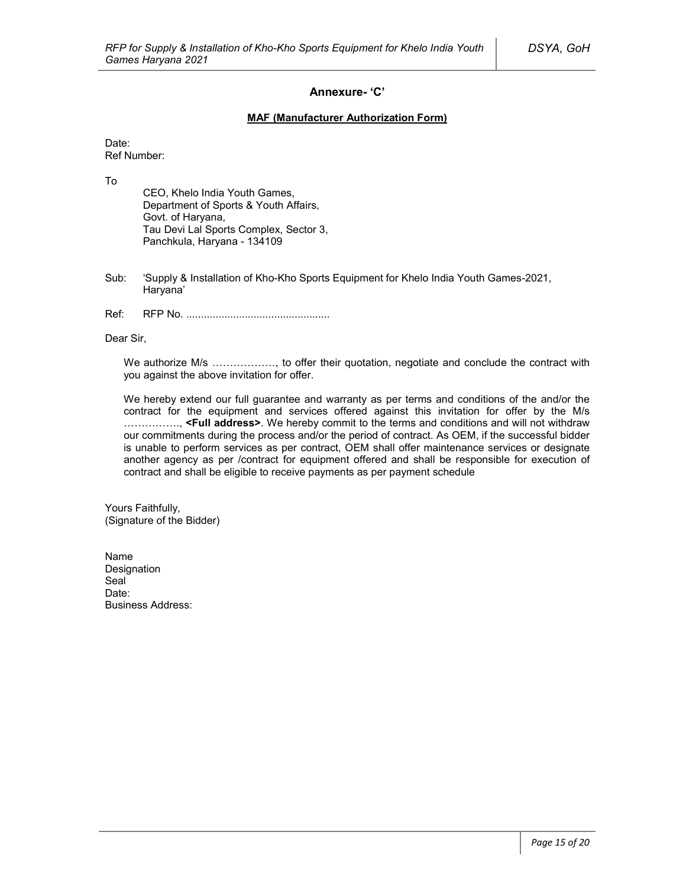### **Annexure- 'C'**

#### **MAF (Manufacturer Authorization Form)**

Date: Ref Number:

To

CEO, Khelo India Youth Games, Department of Sports & Youth Affairs, Govt. of Haryana, Tau Devi Lal Sports Complex, Sector 3, Panchkula, Haryana - 134109

- Sub: 'Supply & Installation of Kho-Kho Sports Equipment for Khelo India Youth Games-2021, Haryana'
- Ref: RFP No. .................................................

Dear Sir,

We authorize M/s ................., to offer their quotation, negotiate and conclude the contract with you against the above invitation for offer.

We hereby extend our full guarantee and warranty as per terms and conditions of the and/or the contract for the equipment and services offered against this invitation for offer by the M/s ……………., **<Full address>**. We hereby commit to the terms and conditions and will not withdraw our commitments during the process and/or the period of contract. As OEM, if the successful bidder is unable to perform services as per contract, OEM shall offer maintenance services or designate another agency as per /contract for equipment offered and shall be responsible for execution of contract and shall be eligible to receive payments as per payment schedule

Yours Faithfully, (Signature of the Bidder)

Name Designation Seal<sup>1</sup> Date: Business Address: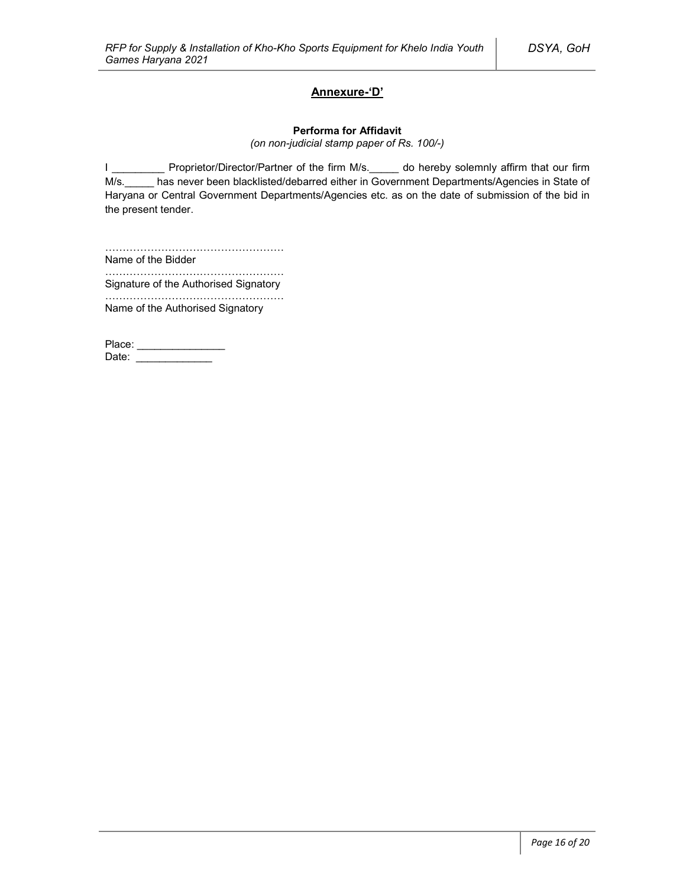### **Annexure-'D'**

#### **Performa for Affidavit**

*(on non-judicial stamp paper of Rs. 100/-)*

I \_\_\_\_\_\_\_\_\_\_ Proprietor/Director/Partner of the firm M/s. \_\_\_\_\_ do hereby solemnly affirm that our firm M/s. has never been blacklisted/debarred either in Government Departments/Agencies in State of Haryana or Central Government Departments/Agencies etc. as on the date of submission of the bid in the present tender.

…………………………………………… Name of the Bidder

…………………………………………………… Signature of the Authorised Signatory

…………………………………………… Name of the Authorised Signatory

Place: \_\_\_\_\_\_\_\_\_\_\_\_\_\_\_\_\_ Date: \_\_\_\_\_\_\_\_\_\_\_\_\_\_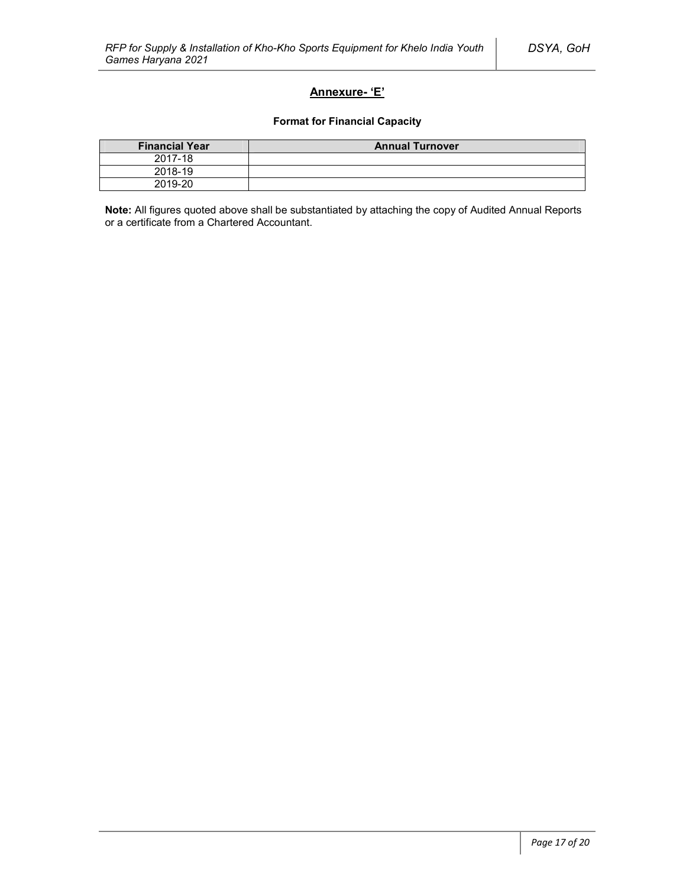### **Annexure- 'E'**

### **Format for Financial Capacity**

| <b>Financial Year</b> | <b>Annual Turnover</b> |
|-----------------------|------------------------|
| 2017-18               |                        |
| 2018-19               |                        |
| 2019-20               |                        |

**Note:** All figures quoted above shall be substantiated by attaching the copy of Audited Annual Reports or a certificate from a Chartered Accountant.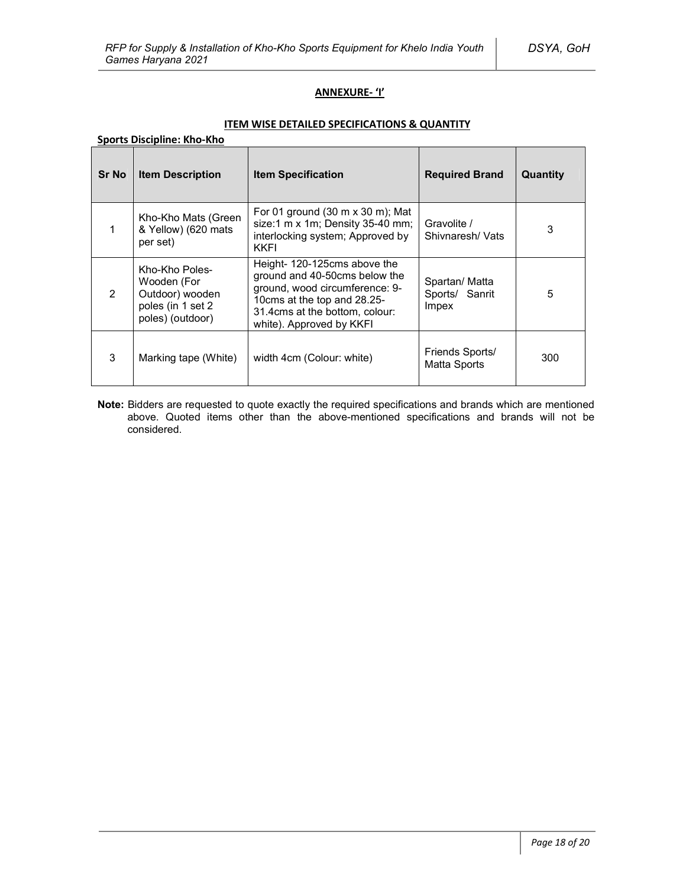### **ANNEXURE- 'I'**

### **ITEM WISE DETAILED SPECIFICATIONS & QUANTITY**

### **Sports Discipline: Kho-Kho**

| <b>Sr No</b>   | <b>Item Description</b>                                                                   | <b>Item Specification</b>                                                                                                                                                                    | <b>Required Brand</b>                     | Quantity |
|----------------|-------------------------------------------------------------------------------------------|----------------------------------------------------------------------------------------------------------------------------------------------------------------------------------------------|-------------------------------------------|----------|
| 1              | Kho-Kho Mats (Green<br>& Yellow) (620 mats<br>per set)                                    | For 01 ground $(30 \text{ m} \times 30 \text{ m})$ ; Mat<br>size:1 $m \times 1m$ ; Density 35-40 mm;<br>interlocking system; Approved by<br>KKFI                                             | Gravolite /<br>Shivnaresh/ Vats           | 3        |
| $\overline{2}$ | Kho-Kho Poles-<br>Wooden (For<br>Outdoor) wooden<br>poles (in 1 set 2<br>poles) (outdoor) | Height-120-125 cms above the<br>ground and 40-50cms below the<br>ground, wood circumference: 9-<br>10cms at the top and 28.25-<br>31.4cms at the bottom, colour:<br>white). Approved by KKFI | Spartan/ Matta<br>Sports/ Sanrit<br>Impex | 5        |
| 3              | Marking tape (White)                                                                      | width 4cm (Colour: white)                                                                                                                                                                    | Friends Sports/<br>Matta Sports           | 300      |

**Note:** Bidders are requested to quote exactly the required specifications and brands which are mentioned above. Quoted items other than the above-mentioned specifications and brands will not be considered.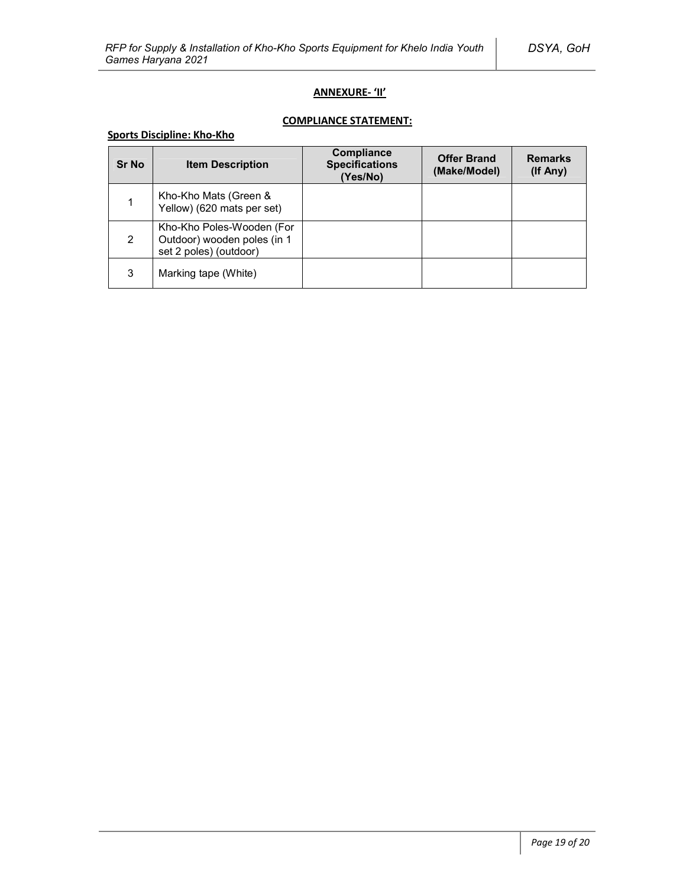### **ANNEXURE- 'II'**

## **COMPLIANCE STATEMENT:**

### **Sports Discipline: Kho-Kho**

| <b>Sr No</b> | <b>Item Description</b>                                                            | <b>Compliance</b><br><b>Specifications</b><br>(Yes/No) | <b>Offer Brand</b><br>(Make/Model) | <b>Remarks</b><br>(If Any) |
|--------------|------------------------------------------------------------------------------------|--------------------------------------------------------|------------------------------------|----------------------------|
|              | Kho-Kho Mats (Green &<br>Yellow) (620 mats per set)                                |                                                        |                                    |                            |
| 2            | Kho-Kho Poles-Wooden (For<br>Outdoor) wooden poles (in 1<br>set 2 poles) (outdoor) |                                                        |                                    |                            |
| 3            | Marking tape (White)                                                               |                                                        |                                    |                            |